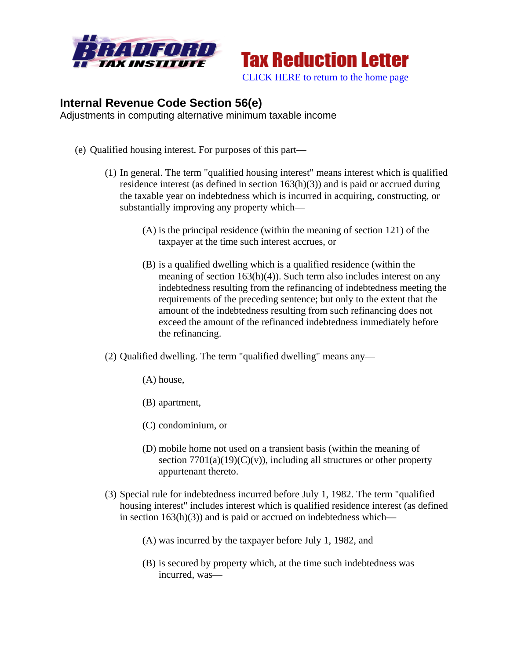



## **Internal Revenue Code Section 56(e)**

Adjustments in computing alternative minimum taxable income

- (e) Qualified housing interest. For purposes of this part—
	- (1) In general. The term "qualified housing interest" means interest which is qualified residence interest (as defined in section 163(h)(3)) and is paid or accrued during the taxable year on indebtedness which is incurred in acquiring, constructing, or substantially improving any property which—
		- (A) is the principal residence (within the meaning of section 121) of the taxpayer at the time such interest accrues, or
		- (B) is a qualified dwelling which is a qualified residence (within the meaning of section  $163(h)(4)$ ). Such term also includes interest on any indebtedness resulting from the refinancing of indebtedness meeting the requirements of the preceding sentence; but only to the extent that the amount of the indebtedness resulting from such refinancing does not exceed the amount of the refinanced indebtedness immediately before the refinancing.
	- (2) Qualified dwelling. The term "qualified dwelling" means any—
		- (A) house,
		- (B) apartment,
		- (C) condominium, or
		- (D) mobile home not used on a transient basis (within the meaning of section  $7701(a)(19)(C)(v)$ , including all structures or other property appurtenant thereto.
	- (3) Special rule for indebtedness incurred before July 1, 1982. The term "qualified housing interest" includes interest which is qualified residence interest (as defined in section  $163(h)(3)$  and is paid or accrued on indebtedness which—
		- (A) was incurred by the taxpayer before July 1, 1982, and
		- (B) is secured by property which, at the time such indebtedness was incurred, was—